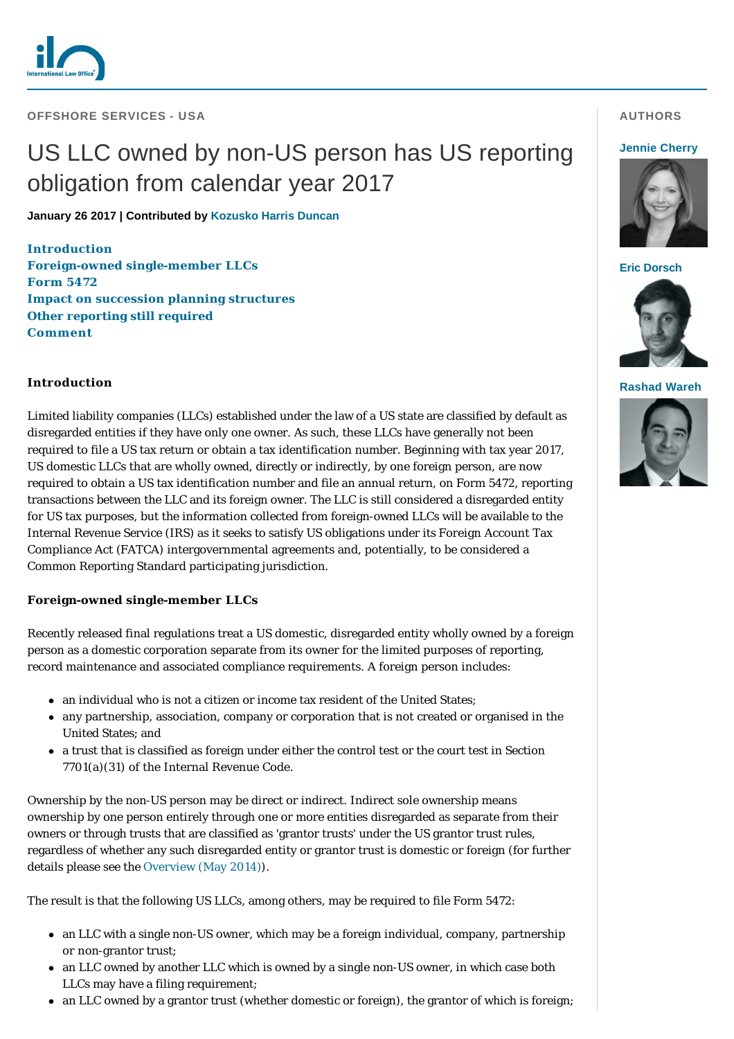

### **OFFSHORE SERVICES - USA**

# US LLC owned by non-US person has US reporting obligation from calendar year 2017

**January 26 2017 | Contributed by [Kozusko Harris Duncan](http://www.internationallawoffice.com/gesr.ashx?l=7TP0D0L)**

#### **[Introduction](#page-0-0)**

**[Foreign-owned single-member LLCs](#page-0-1) [Form 5472](#page-1-0) [Impact on succession planning structures](#page-1-1) [Other reporting still required](#page-1-2) [Comment](#page-2-0)**

## <span id="page-0-0"></span>**Introduction**

Limited liability companies (LLCs) established under the law of a US state are classified by default as disregarded entities if they have only one owner. As such, these LLCs have generally not been required to file a US tax return or obtain a tax identification number. Beginning with tax year 2017, US domestic LLCs that are wholly owned, directly or indirectly, by one foreign person, are now required to obtain a US tax identification number and file an annual return, on Form 5472, reporting transactions between the LLC and its foreign owner. The LLC is still considered a disregarded entity for US tax purposes, but the information collected from foreign-owned LLCs will be available to the Internal Revenue Service (IRS) as it seeks to satisfy US obligations under its Foreign Account Tax Compliance Act (FATCA) intergovernmental agreements and, potentially, to be considered a Common Reporting Standard participating jurisdiction.

### <span id="page-0-1"></span>**Foreign-owned single-member LLCs**

Recently released final regulations treat a US domestic, disregarded entity wholly owned by a foreign person as a domestic corporation separate from its owner for the limited purposes of reporting, record maintenance and associated compliance requirements. A foreign person includes:

- $\bullet$  an individual who is not a citizen or income tax resident of the United States;
- <sup>l</sup> any partnership, association, company or corporation that is not created or organised in the United States; and
- <sup>l</sup> a trust that is classified as foreign under either the control test or the court test in Section 7701(a)(31) of the Internal Revenue Code.

Ownership by the non-US person may be direct or indirect. Indirect sole ownership means ownership by one person entirely through one or more entities disregarded as separate from their owners or through trusts that are classified as 'grantor trusts' under the US grantor trust rules, regardless of whether any such disregarded entity or grantor trust is domestic or foreign (for further details please see the [Overview \(May 2014\)\)](http://www.internationallawoffice.com/gesr.ashx?l=7TP0D0P).

The result is that the following US LLCs, among others, may be required to file Form 5472:

- an LLC with a single non-US owner, which may be a foreign individual, company, partnership or non-grantor trust;
- an LLC owned by another LLC which is owned by a single non-US owner, in which case both LLCs may have a filing requirement;
- $\bullet$  an LLC owned by a grantor trust (whether domestic or foreign), the grantor of which is foreign;

# **AUTHORS**

#### **[Jennie Cherry](http://www.internationallawoffice.com/gesr.ashx?l=7TP0D1R)**



**[Eric Dorsch](http://www.internationallawoffice.com/gesr.ashx?l=7TP0D14)**



**[Rashad Wareh](http://www.internationallawoffice.com/gesr.ashx?l=7TP0D1U)**

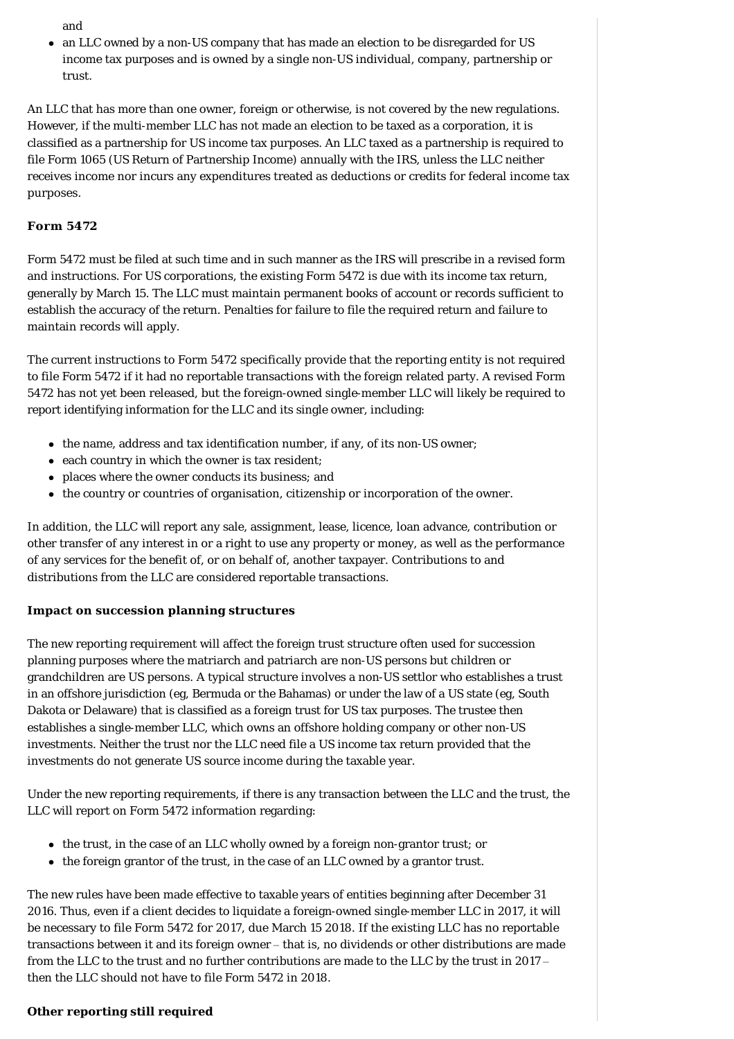and

• an LLC owned by a non-US company that has made an election to be disregarded for US income tax purposes and is owned by a single non-US individual, company, partnership or trust.

An LLC that has more than one owner, foreign or otherwise, is not covered by the new regulations. However, if the multi-member LLC has not made an election to be taxed as a corporation, it is classified as a partnership for US income tax purposes. An LLC taxed as a partnership is required to file Form 1065 (US Return of Partnership Income) annually with the IRS, unless the LLC neither receives income nor incurs any expenditures treated as deductions or credits for federal income tax purposes.

# <span id="page-1-0"></span>**Form 5472**

Form 5472 must be filed at such time and in such manner as the IRS will prescribe in a revised form and instructions. For US corporations, the existing Form 5472 is due with its income tax return, generally by March 15. The LLC must maintain permanent books of account or records sufficient to establish the accuracy of the return. Penalties for failure to file the required return and failure to maintain records will apply.

The current instructions to Form 5472 specifically provide that the reporting entity is not required to file Form 5472 if it had no reportable transactions with the foreign related party. A revised Form 5472 has not yet been released, but the foreign-owned single-member LLC will likely be required to report identifying information for the LLC and its single owner, including:

- the name, address and tax identification number, if any, of its non-US owner;
- $\bullet$  each country in which the owner is tax resident;
- places where the owner conducts its business; and
- the country or countries of organisation, citizenship or incorporation of the owner.

In addition, the LLC will report any sale, assignment, lease, licence, loan advance, contribution or other transfer of any interest in or a right to use any property or money, as well as the performance of any services for the benefit of, or on behalf of, another taxpayer. Contributions to and distributions from the LLC are considered reportable transactions.

# <span id="page-1-1"></span>**Impact on succession planning structures**

The new reporting requirement will affect the foreign trust structure often used for succession planning purposes where the matriarch and patriarch are non-US persons but children or grandchildren are US persons. A typical structure involves a non-US settlor who establishes a trust in an offshore jurisdiction (eg, Bermuda or the Bahamas) or under the law of a US state (eg, South Dakota or Delaware) that is classified as a foreign trust for US tax purposes. The trustee then establishes a single-member LLC, which owns an offshore holding company or other non-US investments. Neither the trust nor the LLC need file a US income tax return provided that the investments do not generate US source income during the taxable year.

Under the new reporting requirements, if there is any transaction between the LLC and the trust, the LLC will report on Form 5472 information regarding:

- $\bullet$  the trust, in the case of an LLC wholly owned by a foreign non-grantor trust; or
- $\bullet$  the foreign grantor of the trust, in the case of an LLC owned by a grantor trust.

The new rules have been made effective to taxable years of entities beginning after December 31 2016. Thus, even if a client decides to liquidate a foreign-owned single-member LLC in 2017, it will be necessary to file Form 5472 for 2017, due March 15 2018. If the existing LLC has no reportable transactions between it and its foreign owner – that is, no dividends or other distributions are made from the LLC to the trust and no further contributions are made to the LLC by the trust in 2017 – then the LLC should not have to file Form 5472 in 2018.

# <span id="page-1-2"></span>**Other reporting still required**